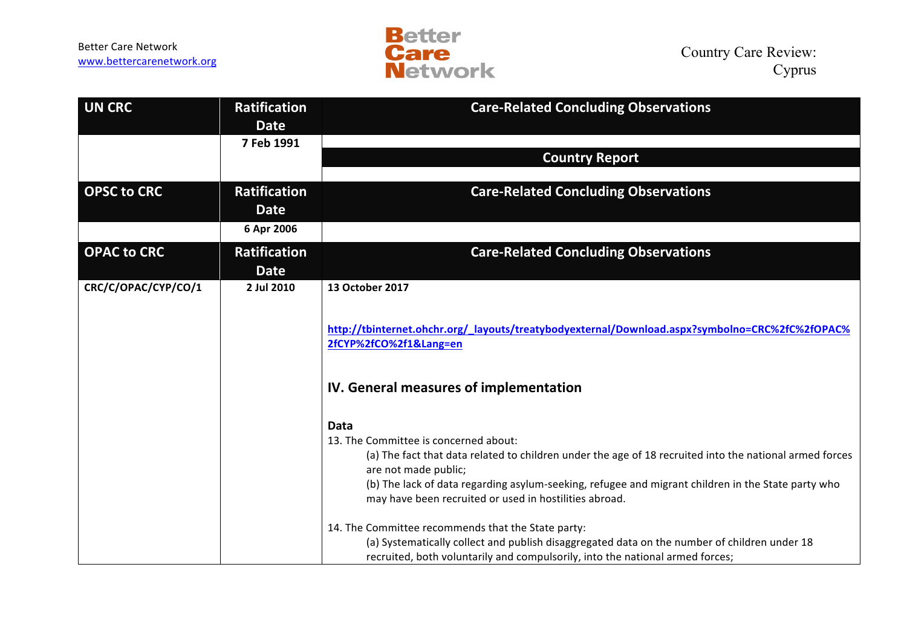Better Care Network<br>www.bettercarenetwork.org



| <b>UN CRC</b>       | <b>Ratification</b><br><b>Date</b> | <b>Care-Related Concluding Observations</b>                                                                                                                                                                                                                                                                                                                                                                   |
|---------------------|------------------------------------|---------------------------------------------------------------------------------------------------------------------------------------------------------------------------------------------------------------------------------------------------------------------------------------------------------------------------------------------------------------------------------------------------------------|
|                     | 7 Feb 1991                         |                                                                                                                                                                                                                                                                                                                                                                                                               |
|                     |                                    | <b>Country Report</b>                                                                                                                                                                                                                                                                                                                                                                                         |
|                     |                                    |                                                                                                                                                                                                                                                                                                                                                                                                               |
| <b>OPSC to CRC</b>  | <b>Ratification</b><br><b>Date</b> | <b>Care-Related Concluding Observations</b>                                                                                                                                                                                                                                                                                                                                                                   |
|                     | 6 Apr 2006                         |                                                                                                                                                                                                                                                                                                                                                                                                               |
| <b>OPAC to CRC</b>  | <b>Ratification</b><br><b>Date</b> | <b>Care-Related Concluding Observations</b>                                                                                                                                                                                                                                                                                                                                                                   |
| CRC/C/OPAC/CYP/CO/1 | 2 Jul 2010                         | 13 October 2017                                                                                                                                                                                                                                                                                                                                                                                               |
|                     |                                    | http://tbinternet.ohchr.org/_layouts/treatybodyexternal/Download.aspx?symbolno=CRC%2fC%2fOPAC%<br>2fCYP%2fCO%2f1⟪=en                                                                                                                                                                                                                                                                                          |
|                     |                                    | IV. General measures of implementation                                                                                                                                                                                                                                                                                                                                                                        |
|                     |                                    | <b>Data</b><br>13. The Committee is concerned about:<br>(a) The fact that data related to children under the age of 18 recruited into the national armed forces<br>are not made public;<br>(b) The lack of data regarding asylum-seeking, refugee and migrant children in the State party who<br>may have been recruited or used in hostilities abroad.<br>14. The Committee recommends that the State party: |
|                     |                                    | (a) Systematically collect and publish disaggregated data on the number of children under 18<br>recruited, both voluntarily and compulsorily, into the national armed forces;                                                                                                                                                                                                                                 |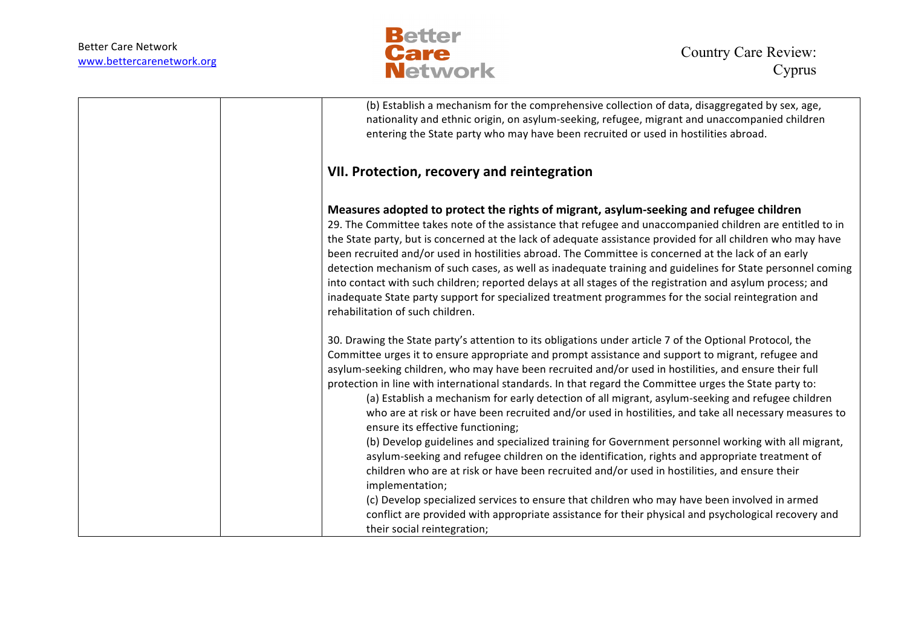

| (b) Establish a mechanism for the comprehensive collection of data, disaggregated by sex, age,<br>nationality and ethnic origin, on asylum-seeking, refugee, migrant and unaccompanied children<br>entering the State party who may have been recruited or used in hostilities abroad.                                                                                                                                                                                                                                                                                                                                                                                                                                                                                                                                                                                                                                                                                                                                                                                                                                                                                                                                                                  |
|---------------------------------------------------------------------------------------------------------------------------------------------------------------------------------------------------------------------------------------------------------------------------------------------------------------------------------------------------------------------------------------------------------------------------------------------------------------------------------------------------------------------------------------------------------------------------------------------------------------------------------------------------------------------------------------------------------------------------------------------------------------------------------------------------------------------------------------------------------------------------------------------------------------------------------------------------------------------------------------------------------------------------------------------------------------------------------------------------------------------------------------------------------------------------------------------------------------------------------------------------------|
| VII. Protection, recovery and reintegration                                                                                                                                                                                                                                                                                                                                                                                                                                                                                                                                                                                                                                                                                                                                                                                                                                                                                                                                                                                                                                                                                                                                                                                                             |
| Measures adopted to protect the rights of migrant, asylum-seeking and refugee children<br>29. The Committee takes note of the assistance that refugee and unaccompanied children are entitled to in<br>the State party, but is concerned at the lack of adequate assistance provided for all children who may have<br>been recruited and/or used in hostilities abroad. The Committee is concerned at the lack of an early<br>detection mechanism of such cases, as well as inadequate training and guidelines for State personnel coming<br>into contact with such children; reported delays at all stages of the registration and asylum process; and<br>inadequate State party support for specialized treatment programmes for the social reintegration and<br>rehabilitation of such children.                                                                                                                                                                                                                                                                                                                                                                                                                                                     |
| 30. Drawing the State party's attention to its obligations under article 7 of the Optional Protocol, the<br>Committee urges it to ensure appropriate and prompt assistance and support to migrant, refugee and<br>asylum-seeking children, who may have been recruited and/or used in hostilities, and ensure their full<br>protection in line with international standards. In that regard the Committee urges the State party to:<br>(a) Establish a mechanism for early detection of all migrant, asylum-seeking and refugee children<br>who are at risk or have been recruited and/or used in hostilities, and take all necessary measures to<br>ensure its effective functioning;<br>(b) Develop guidelines and specialized training for Government personnel working with all migrant,<br>asylum-seeking and refugee children on the identification, rights and appropriate treatment of<br>children who are at risk or have been recruited and/or used in hostilities, and ensure their<br>implementation;<br>(c) Develop specialized services to ensure that children who may have been involved in armed<br>conflict are provided with appropriate assistance for their physical and psychological recovery and<br>their social reintegration; |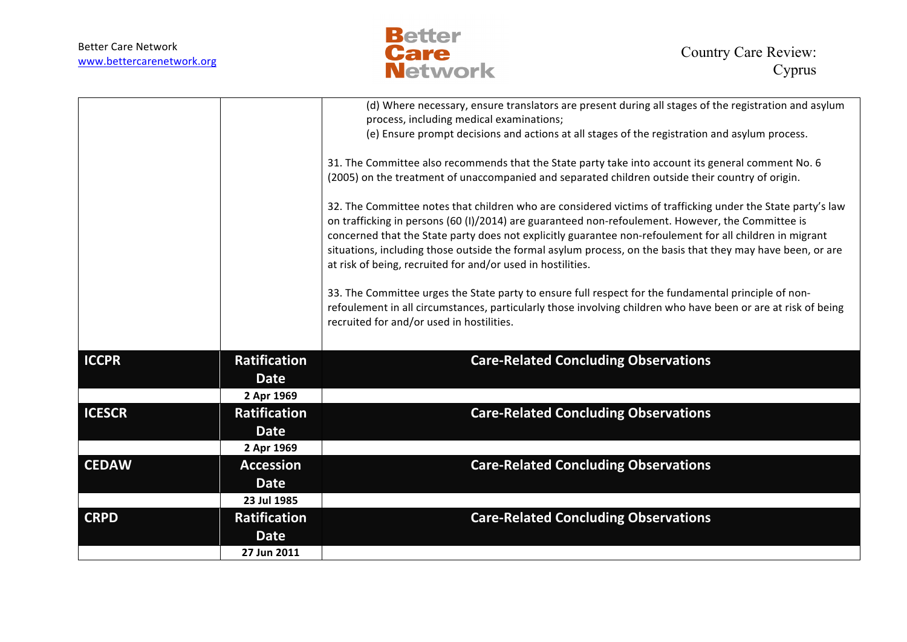

|               |                     | (d) Where necessary, ensure translators are present during all stages of the registration and asylum<br>process, including medical examinations;                                                                                                                                                                                                                                                                                                                                                           |
|---------------|---------------------|------------------------------------------------------------------------------------------------------------------------------------------------------------------------------------------------------------------------------------------------------------------------------------------------------------------------------------------------------------------------------------------------------------------------------------------------------------------------------------------------------------|
|               |                     | (e) Ensure prompt decisions and actions at all stages of the registration and asylum process.                                                                                                                                                                                                                                                                                                                                                                                                              |
|               |                     | 31. The Committee also recommends that the State party take into account its general comment No. 6                                                                                                                                                                                                                                                                                                                                                                                                         |
|               |                     | (2005) on the treatment of unaccompanied and separated children outside their country of origin.                                                                                                                                                                                                                                                                                                                                                                                                           |
|               |                     | 32. The Committee notes that children who are considered victims of trafficking under the State party's law<br>on trafficking in persons (60 (I)/2014) are guaranteed non-refoulement. However, the Committee is<br>concerned that the State party does not explicitly guarantee non-refoulement for all children in migrant<br>situations, including those outside the formal asylum process, on the basis that they may have been, or are<br>at risk of being, recruited for and/or used in hostilities. |
|               |                     | 33. The Committee urges the State party to ensure full respect for the fundamental principle of non-<br>refoulement in all circumstances, particularly those involving children who have been or are at risk of being<br>recruited for and/or used in hostilities.                                                                                                                                                                                                                                         |
| <b>ICCPR</b>  | <b>Ratification</b> | <b>Care-Related Concluding Observations</b>                                                                                                                                                                                                                                                                                                                                                                                                                                                                |
|               | <b>Date</b>         |                                                                                                                                                                                                                                                                                                                                                                                                                                                                                                            |
|               | 2 Apr 1969          |                                                                                                                                                                                                                                                                                                                                                                                                                                                                                                            |
| <b>ICESCR</b> | <b>Ratification</b> | <b>Care-Related Concluding Observations</b>                                                                                                                                                                                                                                                                                                                                                                                                                                                                |
|               | <b>Date</b>         |                                                                                                                                                                                                                                                                                                                                                                                                                                                                                                            |
|               | 2 Apr 1969          |                                                                                                                                                                                                                                                                                                                                                                                                                                                                                                            |
| <b>CEDAW</b>  | <b>Accession</b>    | <b>Care-Related Concluding Observations</b>                                                                                                                                                                                                                                                                                                                                                                                                                                                                |
|               | <b>Date</b>         |                                                                                                                                                                                                                                                                                                                                                                                                                                                                                                            |
|               | 23 Jul 1985         |                                                                                                                                                                                                                                                                                                                                                                                                                                                                                                            |
| <b>CRPD</b>   | <b>Ratification</b> | <b>Care-Related Concluding Observations</b>                                                                                                                                                                                                                                                                                                                                                                                                                                                                |
|               | <b>Date</b>         |                                                                                                                                                                                                                                                                                                                                                                                                                                                                                                            |
|               | 27 Jun 2011         |                                                                                                                                                                                                                                                                                                                                                                                                                                                                                                            |